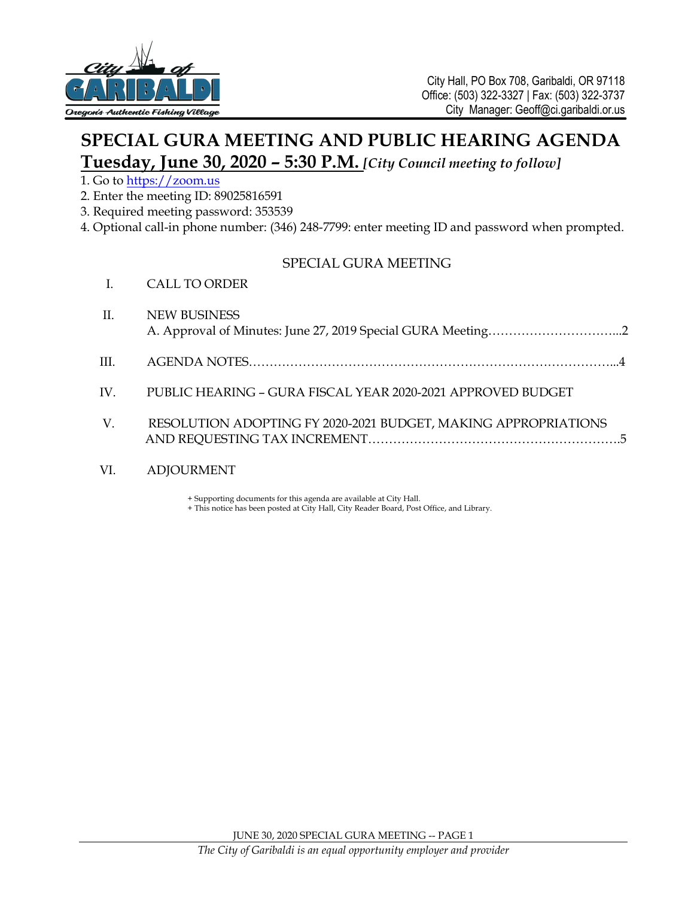

# **SPECIAL GURA MEETING AND PUBLIC HEARING AGENDA Tuesday, June 30, 2020 – 5:30 P.M.** *[City Council meeting to follow]*

#### 1. Go to [https://zoom.us](https://zoom.us/)

2. Enter the meeting ID: 89025816591

I. CALL TO ORDER

- 3. Required meeting password: 353539
- 4. Optional call-in phone number: (346) 248-7799: enter meeting ID and password when prompted.

### SPECIAL GURA MEETING

| II.      | <b>NEW BUSINESS</b>                                            |
|----------|----------------------------------------------------------------|
| III.     |                                                                |
| $IV_{-}$ | PUBLIC HEARING - GURA FISCAL YEAR 2020-2021 APPROVED BUDGET    |
| V.       | RESOLUTION ADOPTING FY 2020-2021 BUDGET, MAKING APPROPRIATIONS |

#### VI. ADJOURMENT

+ Supporting documents for this agenda are available at City Hall.

+ This notice has been posted at City Hall, City Reader Board, Post Office, and Library.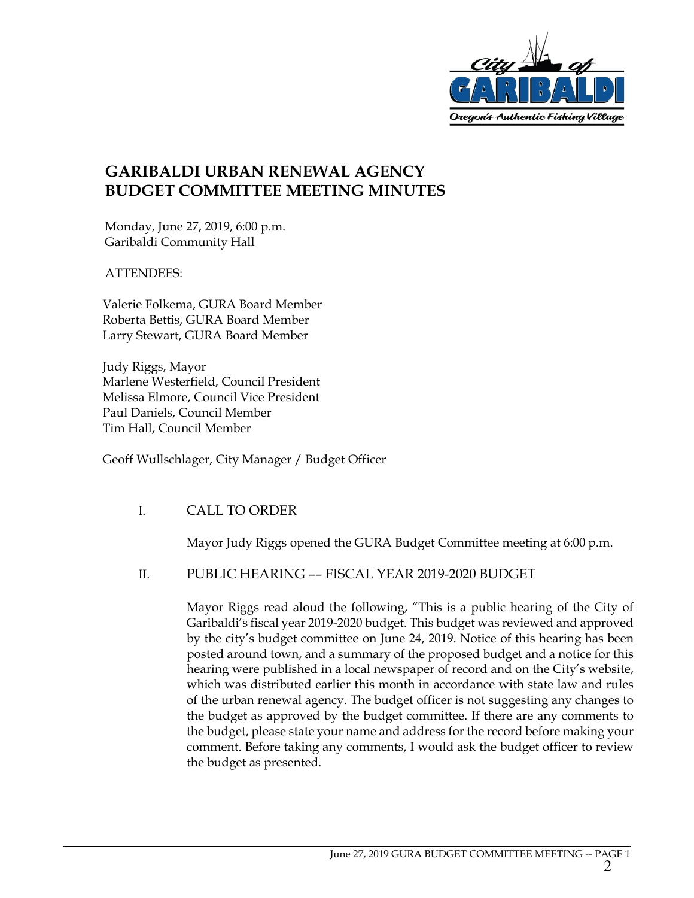

## **GARIBALDI URBAN RENEWAL AGENCY BUDGET COMMITTEE MEETING MINUTES**

Monday, June 27, 2019, 6:00 p.m. Garibaldi Community Hall

ATTENDEES:

Valerie Folkema, GURA Board Member Roberta Bettis, GURA Board Member Larry Stewart, GURA Board Member

Judy Riggs, Mayor Marlene Westerfield, Council President Melissa Elmore, Council Vice President Paul Daniels, Council Member Tim Hall, Council Member

Geoff Wullschlager, City Manager / Budget Officer

### I. CALL TO ORDER

Mayor Judy Riggs opened the GURA Budget Committee meeting at 6:00 p.m.

### II. PUBLIC HEARING –– FISCAL YEAR 2019-2020 BUDGET

Mayor Riggs read aloud the following, "This is a public hearing of the City of Garibaldi's fiscal year 2019-2020 budget. This budget was reviewed and approved by the city's budget committee on June 24, 2019. Notice of this hearing has been posted around town, and a summary of the proposed budget and a notice for this hearing were published in a local newspaper of record and on the City's website, which was distributed earlier this month in accordance with state law and rules of the urban renewal agency. The budget officer is not suggesting any changes to the budget as approved by the budget committee. If there are any comments to the budget, please state your name and address for the record before making your comment. Before taking any comments, I would ask the budget officer to review the budget as presented.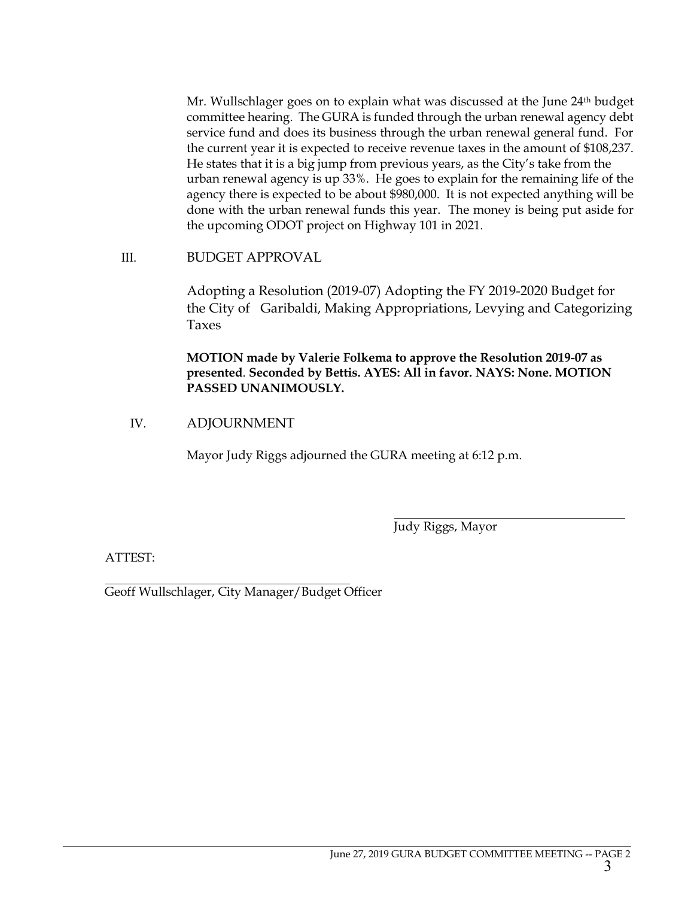Mr. Wullschlager goes on to explain what was discussed at the June 24th budget committee hearing. The GURA is funded through the urban renewal agency debt service fund and does its business through the urban renewal general fund. For the current year it is expected to receive revenue taxes in the amount of \$108,237. He states that it is a big jump from previous years, as the City's take from the urban renewal agency is up 33%. He goes to explain for the remaining life of the agency there is expected to be about \$980,000. It is not expected anything will be done with the urban renewal funds this year. The money is being put aside for the upcoming ODOT project on Highway 101 in 2021.

#### III. BUDGET APPROVAL

Adopting a Resolution (2019-07) Adopting the FY 2019-2020 Budget for the City of Garibaldi, Making Appropriations, Levying and Categorizing Taxes

**MOTION made by Valerie Folkema to approve the Resolution 2019-07 as presented**. **Seconded by Bettis. AYES: All in favor. NAYS: None. MOTION PASSED UNANIMOUSLY.**

### IV. ADJOURNMENT

Mayor Judy Riggs adjourned the GURA meeting at 6:12 p.m.

Judy Riggs, Mayor

ATTEST:

Geoff Wullschlager, City Manager/Budget Officer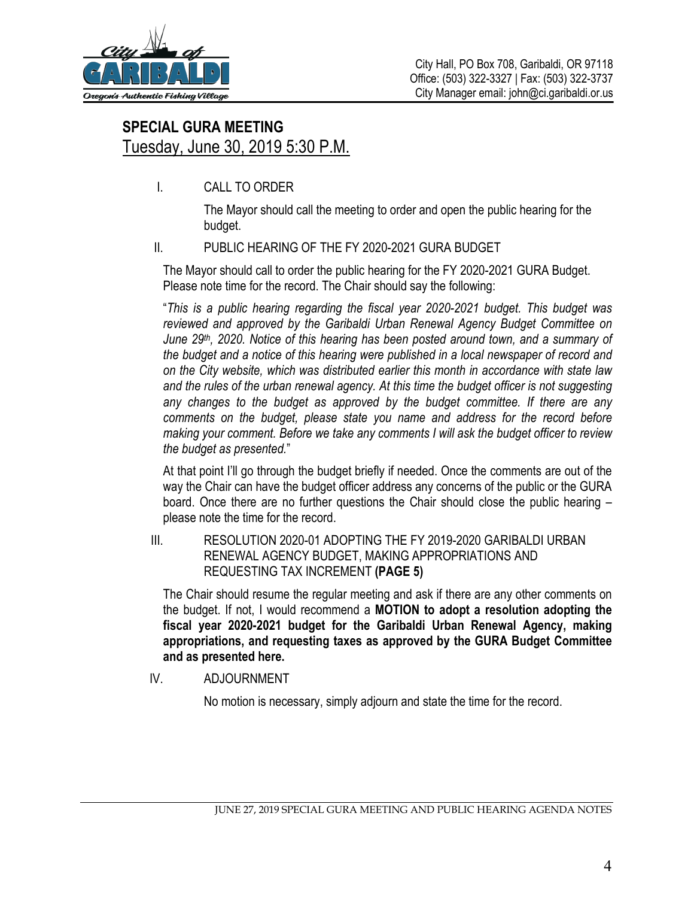

# **SPECIAL GURA MEETING** Tuesday, June 30, 2019 5:30 P.M.

I. CALL TO ORDER

The Mayor should call the meeting to order and open the public hearing for the budget.

## II. PUBLIC HEARING OF THE FY 2020-2021 GURA BUDGET

The Mayor should call to order the public hearing for the FY 2020-2021 GURA Budget. Please note time for the record. The Chair should say the following:

"*This is a public hearing regarding the fiscal year 2020-2021 budget. This budget was reviewed and approved by the Garibaldi Urban Renewal Agency Budget Committee on June 29th, 2020. Notice of this hearing has been posted around town, and a summary of the budget and a notice of this hearing were published in a local newspaper of record and on the City website, which was distributed earlier this month in accordance with state law and the rules of the urban renewal agency. At this time the budget officer is not suggesting any changes to the budget as approved by the budget committee. If there are any comments on the budget, please state you name and address for the record before making your comment. Before we take any comments I will ask the budget officer to review the budget as presented.*"

At that point I'll go through the budget briefly if needed. Once the comments are out of the way the Chair can have the budget officer address any concerns of the public or the GURA board. Once there are no further questions the Chair should close the public hearing – please note the time for the record.

III. RESOLUTION 2020-01 ADOPTING THE FY 2019-2020 GARIBALDI URBAN RENEWAL AGENCY BUDGET, MAKING APPROPRIATIONS AND REQUESTING TAX INCREMENT **(PAGE 5)**

The Chair should resume the regular meeting and ask if there are any other comments on the budget. If not, I would recommend a **MOTION to adopt a resolution adopting the fiscal year 2020-2021 budget for the Garibaldi Urban Renewal Agency, making appropriations, and requesting taxes as approved by the GURA Budget Committee and as presented here.** 

IV. ADJOURNMENT

No motion is necessary, simply adjourn and state the time for the record.